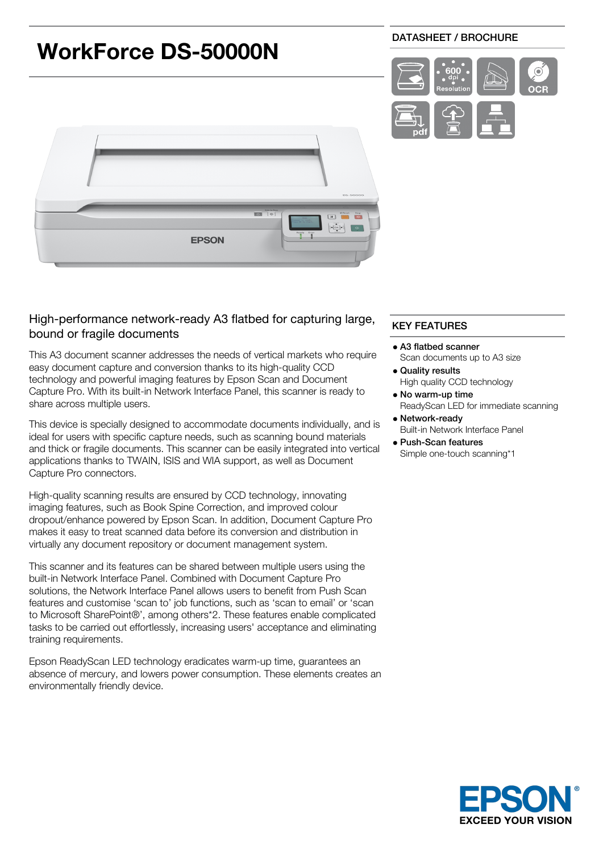

# High-performance network-ready A3 flatbed for capturing large, bound or fragile documents

This A3 document scanner addresses the needs of vertical markets who require easy document capture and conversion thanks to its high-quality CCD technology and powerful imaging features by Epson Scan and Document Capture Pro. With its built-in Network Interface Panel, this scanner is ready to share across multiple users.

This device is specially designed to accommodate documents individually, and is ideal for users with specific capture needs, such as scanning bound materials and thick or fragile documents. This scanner can be easily integrated into vertical applications thanks to TWAIN, ISIS and WIA support, as well as Document Capture Pro connectors.

High-quality scanning results are ensured by CCD technology, innovating imaging features, such as Book Spine Correction, and improved colour dropout/enhance powered by Epson Scan. In addition, Document Capture Pro makes it easy to treat scanned data before its conversion and distribution in virtually any document repository or document management system.

This scanner and its features can be shared between multiple users using the built-in Network Interface Panel. Combined with Document Capture Pro solutions, the Network Interface Panel allows users to benefit from Push Scan features and customise 'scan to' job functions, such as 'scan to email' or 'scan to Microsoft SharePoint®', among others\*2. These features enable complicated tasks to be carried out effortlessly, increasing users' acceptance and eliminating training requirements.

Epson ReadyScan LED technology eradicates warm-up time, guarantees an absence of mercury, and lowers power consumption. These elements creates an environmentally friendly device.

### KEY FEATURES

- A3 flatbed scanner Scan documents up to A3 size
- Quality results High quality CCD technology
- No warm-up time ReadyScan LED for immediate scanning
- Network-ready Built-in Network Interface Panel
- Push-Scan features Simple one-touch scanning\*1